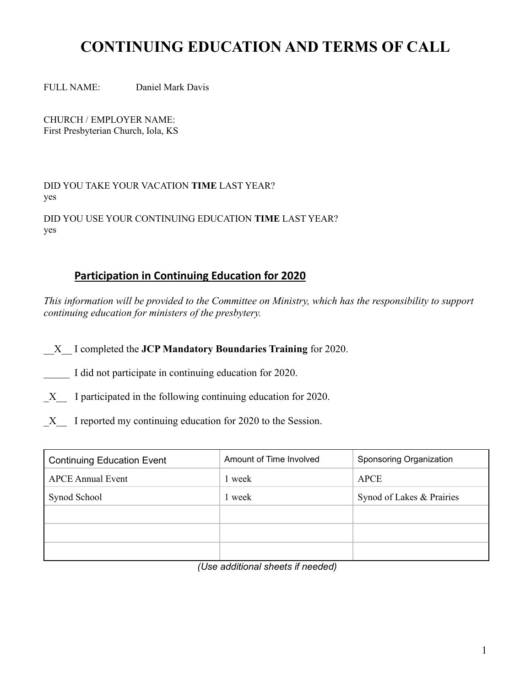## **CONTINUING EDUCATION AND TERMS OF CALL**

FULL NAME: Daniel Mark Davis

CHURCH / EMPLOYER NAME: First Presbyterian Church, Iola, KS

DID YOU TAKE YOUR VACATION **TIME** LAST YEAR? yes

DID YOU USE YOUR CONTINUING EDUCATION **TIME** LAST YEAR? yes

## **Participation in Continuing Education for 2020**

*This information will be provided to the Committee on Ministry, which has the responsibility to support continuing education for ministers of the presbytery.* 

\_\_X\_\_ I completed the **JCP Mandatory Boundaries Training** for 2020.

I did not participate in continuing education for 2020.

X I participated in the following continuing education for 2020.

X I reported my continuing education for 2020 to the Session.

| <b>Continuing Education Event</b> | Amount of Time Involved | Sponsoring Organization   |
|-----------------------------------|-------------------------|---------------------------|
| <b>APCE Annual Event</b>          | 1 week                  | <b>APCE</b>               |
| Synod School                      | 1 week                  | Synod of Lakes & Prairies |
|                                   |                         |                           |
|                                   |                         |                           |
|                                   |                         |                           |

*(Use additional sheets if needed)*